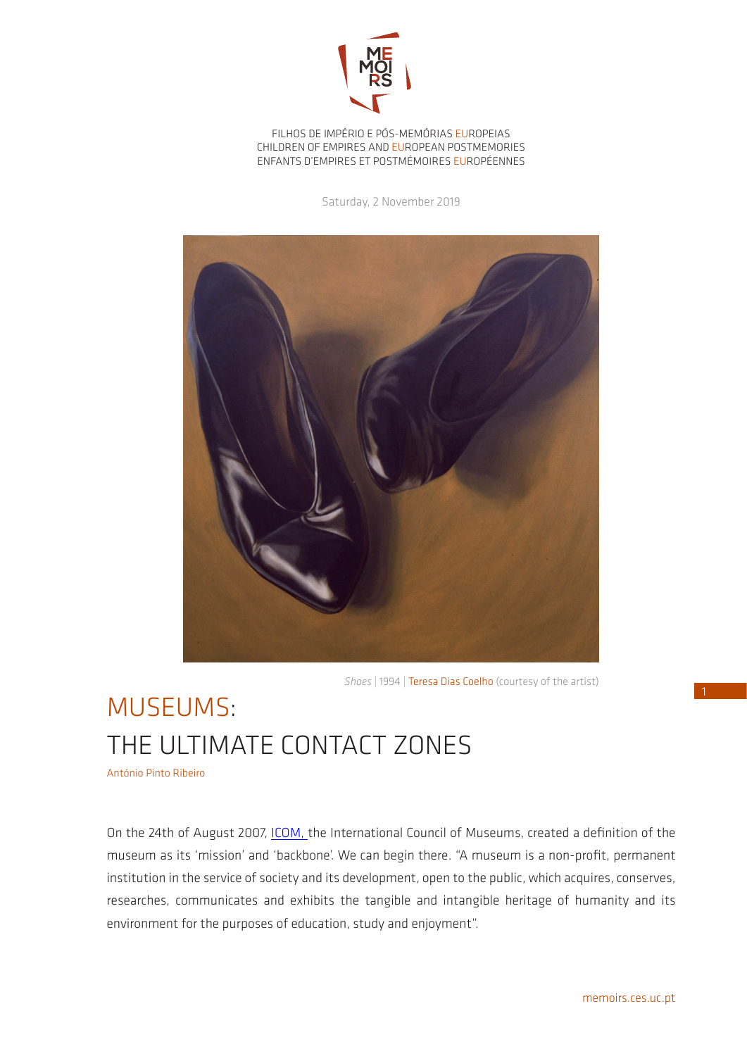

FILHOS DE IMPÉRIO E PÓS-MEMÓRIAS EUROPEIAS CHILDREN OF EMPIRES AND EUROPEAN POSTMEMORIES ENFANTS D'EMPIRES ET POSTMÉMOIRES EUROPÉENNES

Saturday, 2 November 2019



*Shoes* | 1994 | Teresa Dias Coelho (courtesy of the artist)

## MUSEUMS: THE ULTIMATE CONTACT ZONES

António Pinto Ribeiro

On the 24th of August 2007, [ICOM,](http://icom-portugal.org/recursos/definicoes/) the International Council of Museums, created a definition of the museum as its 'mission' and 'backbone'. We can begin there. "A museum is a non-profit, permanent institution in the service of society and its development, open to the public, which acquires, conserves, researches, communicates and exhibits the tangible and intangible heritage of humanity and its environment for the purposes of education, study and enjoyment".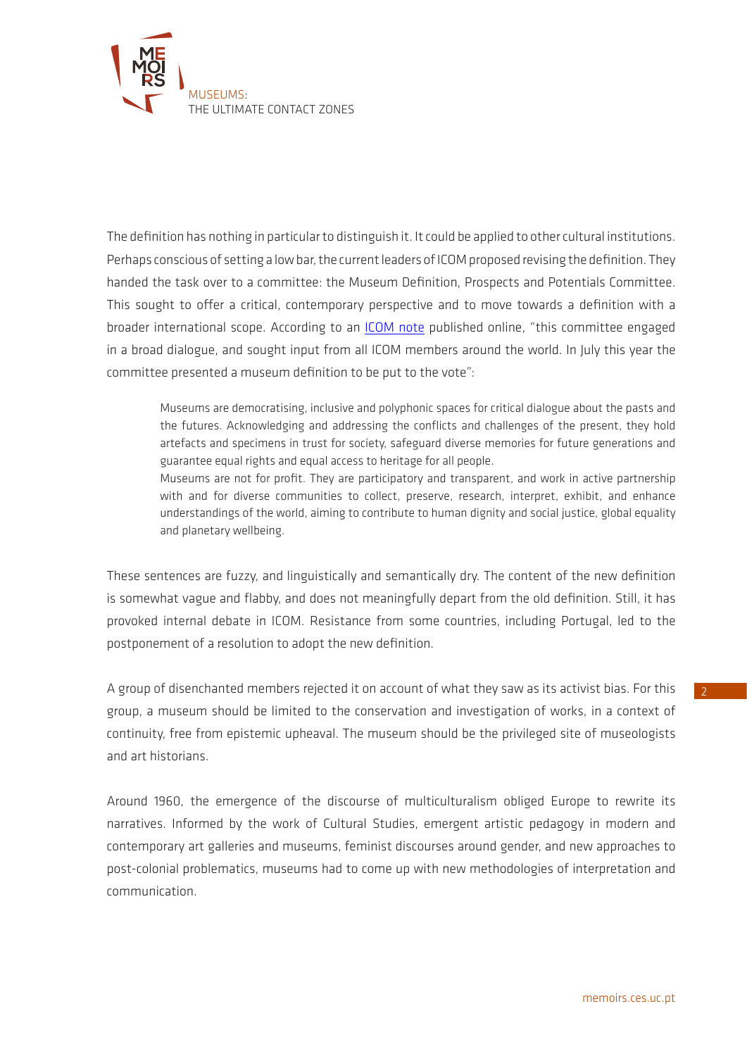

The definition has nothing in particular to distinguish it. It could be applied to other cultural institutions. Perhaps conscious of setting a low bar, the current leaders of ICOM proposed revising the definition. They handed the task over to a committee: the Museum Definition, Prospects and Potentials Committee. This sought to offer a critical, contemporary perspective and to move towards a definition with a broader international scope. According to an [ICOM note](http://icom-portugal.org/2019/09/10/sobre-a-proposta-da-nova-definicao-de-museu/) published online, "this committee engaged in a broad dialogue, and sought input from all ICOM members around the world. In July this year the committee presented a museum definition to be put to the vote":

Museums are democratising, inclusive and polyphonic spaces for critical dialogue about the pasts and the futures. Acknowledging and addressing the conflicts and challenges of the present, they hold artefacts and specimens in trust for society, safeguard diverse memories for future generations and guarantee equal rights and equal access to heritage for all people.

Museums are not for profit. They are participatory and transparent, and work in active partnership with and for diverse communities to collect, preserve, research, interpret, exhibit, and enhance understandings of the world, aiming to contribute to human dignity and social justice, global equality and planetary wellbeing.

These sentences are fuzzy, and linguistically and semantically dry. The content of the new definition is somewhat vague and flabby, and does not meaningfully depart from the old definition. Still, it has provoked internal debate in ICOM. Resistance from some countries, including Portugal, led to the postponement of a resolution to adopt the new definition.

A group of disenchanted members rejected it on account of what they saw as its activist bias. For this group, a museum should be limited to the conservation and investigation of works, in a context of continuity, free from epistemic upheaval. The museum should be the privileged site of museologists and art historians.

Around 1960, the emergence of the discourse of multiculturalism obliged Europe to rewrite its narratives. Informed by the work of Cultural Studies, emergent artistic pedagogy in modern and contemporary art galleries and museums, feminist discourses around gender, and new approaches to post-colonial problematics, museums had to come up with new methodologies of interpretation and communication.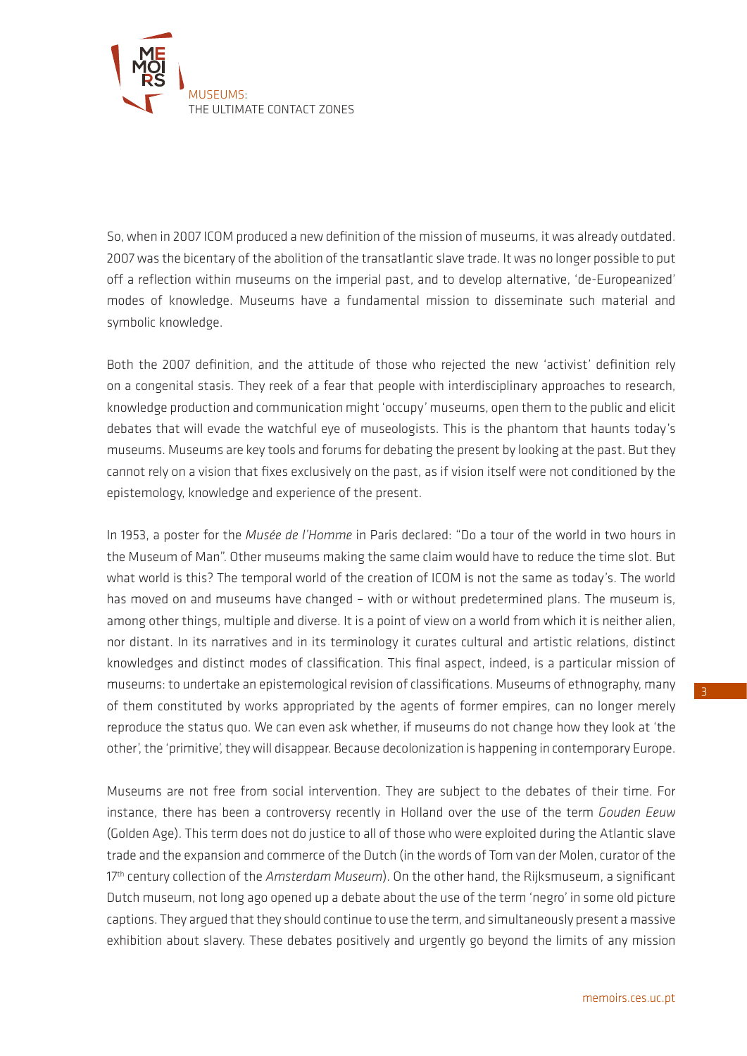

So, when in 2007 ICOM produced a new definition of the mission of museums, it was already outdated. 2007 was the bicentary of the abolition of the transatlantic slave trade. It was no longer possible to put off a reflection within museums on the imperial past, and to develop alternative, 'de-Europeanized' modes of knowledge. Museums have a fundamental mission to disseminate such material and symbolic knowledge.

Both the 2007 definition, and the attitude of those who rejected the new 'activist' definition rely on a congenital stasis. They reek of a fear that people with interdisciplinary approaches to research, knowledge production and communication might 'occupy' museums, open them to the public and elicit debates that will evade the watchful eye of museologists. This is the phantom that haunts today's museums. Museums are key tools and forums for debating the present by looking at the past. But they cannot rely on a vision that fixes exclusively on the past, as if vision itself were not conditioned by the epistemology, knowledge and experience of the present.

In 1953, a poster for the *Musée de l'Homme* in Paris declared: "Do a tour of the world in two hours in the Museum of Man". Other museums making the same claim would have to reduce the time slot. But what world is this? The temporal world of the creation of ICOM is not the same as today's. The world has moved on and museums have changed – with or without predetermined plans. The museum is, among other things, multiple and diverse. It is a point of view on a world from which it is neither alien, nor distant. In its narratives and in its terminology it curates cultural and artistic relations, distinct knowledges and distinct modes of classification. This final aspect, indeed, is a particular mission of museums: to undertake an epistemological revision of classifications. Museums of ethnography, many of them constituted by works appropriated by the agents of former empires, can no longer merely reproduce the status quo. We can even ask whether, if museums do not change how they look at 'the other', the 'primitive', they will disappear. Because decolonization is happening in contemporary Europe.

Museums are not free from social intervention. They are subject to the debates of their time. For instance, there has been a controversy recently in Holland over the use of the term *Gouden Eeuw*  (Golden Age). This term does not do justice to all of those who were exploited during the Atlantic slave trade and the expansion and commerce of the Dutch (in the words of Tom van der Molen, curator of the 17th century collection of the *Amsterdam Museum*). On the other hand, the Rijksmuseum, a significant Dutch museum, not long ago opened up a debate about the use of the term 'negro' in some old picture captions. They argued that they should continue to use the term, and simultaneously present a massive exhibition about slavery. These debates positively and urgently go beyond the limits of any mission